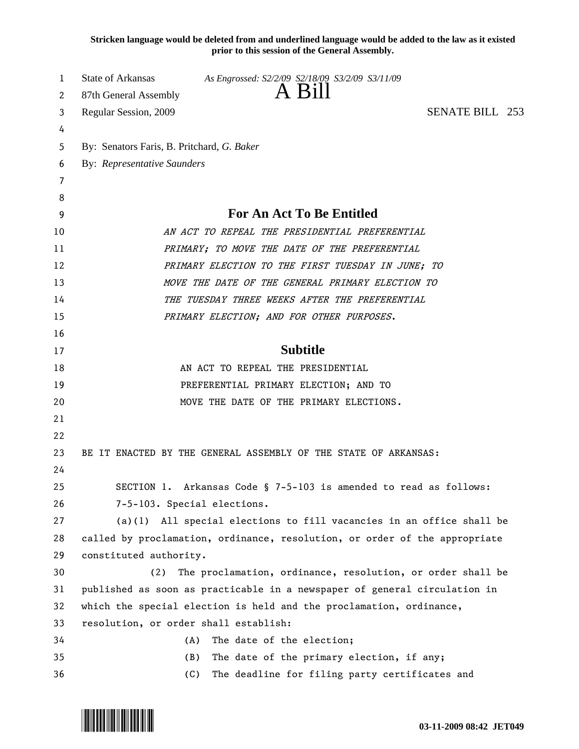**Stricken language would be deleted from and underlined language would be added to the law as it existed prior to this session of the General Assembly.**

| 1  | <b>State of Arkansas</b><br>As Engrossed: S2/2/09 S2/18/09 S3/2/09 S3/11/09 |
|----|-----------------------------------------------------------------------------|
| 2  | A Bill<br>87th General Assembly                                             |
| 3  | <b>SENATE BILL 253</b><br>Regular Session, 2009                             |
| 4  |                                                                             |
| 5  | By: Senators Faris, B. Pritchard, G. Baker                                  |
| 6  | <b>By: Representative Saunders</b>                                          |
| 7  |                                                                             |
| 8  |                                                                             |
| 9  | For An Act To Be Entitled                                                   |
| 10 | AN ACT TO REPEAL THE PRESIDENTIAL PREFERENTIAL                              |
| 11 | PRIMARY; TO MOVE THE DATE OF THE PREFERENTIAL                               |
| 12 | PRIMARY ELECTION TO THE FIRST TUESDAY IN JUNE: TO                           |
| 13 | MOVE THE DATE OF THE GENERAL PRIMARY ELECTION TO                            |
| 14 | THE TUESDAY THREE WEEKS AFTER THE PREFERENTIAL                              |
| 15 | PRIMARY ELECTION; AND FOR OTHER PURPOSES.                                   |
| 16 |                                                                             |
| 17 | <b>Subtitle</b>                                                             |
| 18 | AN ACT TO REPEAL THE PRESIDENTIAL                                           |
| 19 | PREFERENTIAL PRIMARY ELECTION; AND TO                                       |
| 20 | MOVE THE DATE OF THE PRIMARY ELECTIONS.                                     |
| 21 |                                                                             |
| 22 |                                                                             |
| 23 | BE IT ENACTED BY THE GENERAL ASSEMBLY OF THE STATE OF ARKANSAS:             |
| 24 |                                                                             |
| 25 | SECTION 1. Arkansas Code § 7-5-103 is amended to read as follows:           |
| 26 | 7-5-103. Special elections.                                                 |
| 27 | $(a)(1)$ All special elections to fill vacancies in an office shall be      |
| 28 | called by proclamation, ordinance, resolution, or order of the appropriate  |
| 29 | constituted authority.                                                      |
| 30 | The proclamation, ordinance, resolution, or order shall be<br>(2)           |
| 31 | published as soon as practicable in a newspaper of general circulation in   |
| 32 | which the special election is held and the proclamation, ordinance,         |
| 33 | resolution, or order shall establish:                                       |
| 34 | The date of the election;<br>(A)                                            |
| 35 | The date of the primary election, if any;<br>(B)                            |
| 36 | (C)<br>The deadline for filing party certificates and                       |

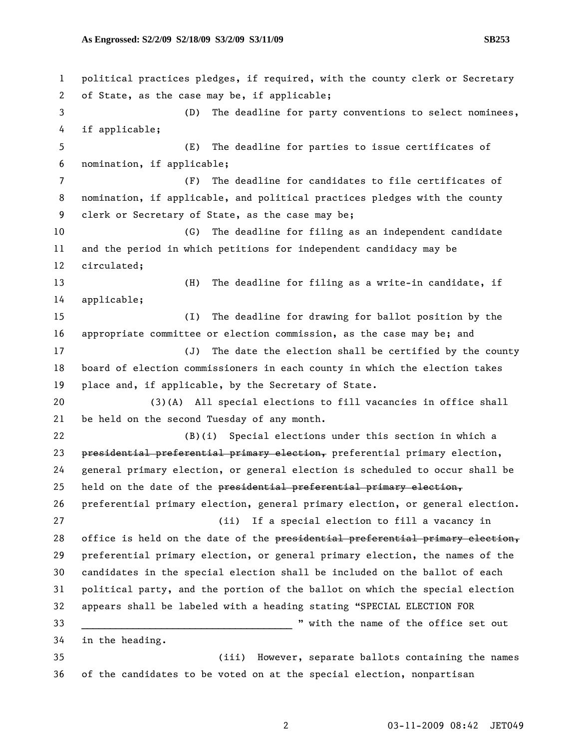1 political practices pledges, if required, with the county clerk or Secretary 2 of State, as the case may be, if applicable; 3 (D) The deadline for party conventions to select nominees, 4 if applicable; 5 (E) The deadline for parties to issue certificates of 6 nomination, if applicable; 7 (F) The deadline for candidates to file certificates of 8 nomination, if applicable, and political practices pledges with the county 9 clerk or Secretary of State, as the case may be; 10 (G) The deadline for filing as an independent candidate 11 and the period in which petitions for independent candidacy may be 12 circulated; 13 (H) The deadline for filing as a write-in candidate, if 14 applicable; 15 (I) The deadline for drawing for ballot position by the 16 appropriate committee or election commission, as the case may be; and 17 (J) The date the election shall be certified by the county 18 board of election commissioners in each county in which the election takes 19 place and, if applicable, by the Secretary of State. 20 (3)(A) All special elections to fill vacancies in office shall 21 be held on the second Tuesday of any month. 22 (B)(i) Special elections under this section in which a 23 presidential preferential primary election, preferential primary election, 24 general primary election, or general election is scheduled to occur shall be 25 held on the date of the presidential preferential primary election, 26 preferential primary election, general primary election, or general election. 27 (ii) If a special election to fill a vacancy in 28 office is held on the date of the presidential preferential primary election, 29 preferential primary election, or general primary election, the names of the 30 candidates in the special election shall be included on the ballot of each 31 political party, and the portion of the ballot on which the special election 32 appears shall be labeled with a heading stating "SPECIAL ELECTION FOR 33 \_\_\_\_\_\_\_\_\_\_\_\_\_\_\_\_\_\_\_\_\_\_\_\_\_\_\_\_\_\_\_\_\_\_\_\_\_ " with the name of the office set out 34 in the heading. 35 (iii) However, separate ballots containing the names 36 of the candidates to be voted on at the special election, nonpartisan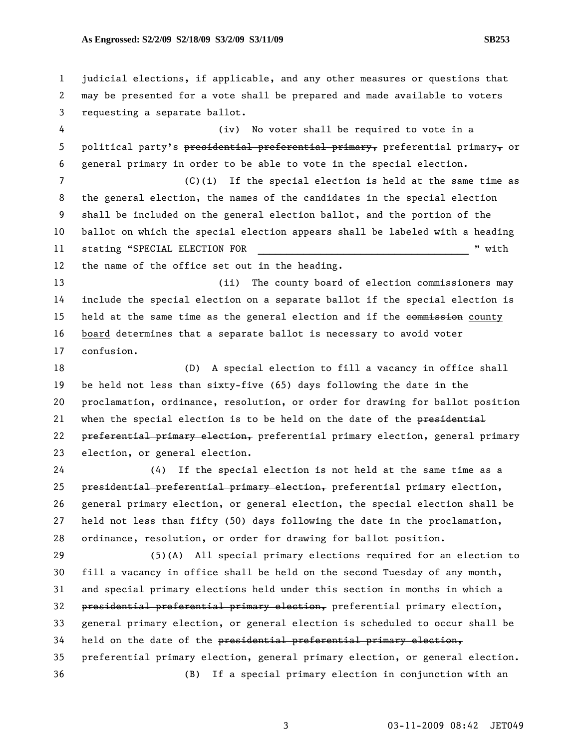1 judicial elections, if applicable, and any other measures or questions that 2 may be presented for a vote shall be prepared and made available to voters 3 requesting a separate ballot.

4 (iv) No voter shall be required to vote in a 5 political party's presidential preferential primary, preferential primary, or 6 general primary in order to be able to vote in the special election.

7 (C)(i) If the special election is held at the same time as 8 the general election, the names of the candidates in the special election 9 shall be included on the general election ballot, and the portion of the 10 ballot on which the special election appears shall be labeled with a heading 11 stating "SPECIAL ELECTION FOR  $\blacksquare$  " with 12 the name of the office set out in the heading.

13 (ii) The county board of election commissioners may

14 include the special election on a separate ballot if the special election is 15 held at the same time as the general election and if the commission county 16 board determines that a separate ballot is necessary to avoid voter 17 confusion.

18 (D) A special election to fill a vacancy in office shall 19 be held not less than sixty-five (65) days following the date in the 20 proclamation, ordinance, resolution, or order for drawing for ballot position 21 when the special election is to be held on the date of the presidential 22 preferential primary election, preferential primary election, general primary 23 election, or general election.

24 (4) If the special election is not held at the same time as a 25 presidential preferential primary election, preferential primary election, 26 general primary election, or general election, the special election shall be 27 held not less than fifty (50) days following the date in the proclamation, 28 ordinance, resolution, or order for drawing for ballot position.

29 (5)(A) All special primary elections required for an election to 30 fill a vacancy in office shall be held on the second Tuesday of any month, 31 and special primary elections held under this section in months in which a 32 presidential preferential primary election, preferential primary election, 33 general primary election, or general election is scheduled to occur shall be 34 held on the date of the presidential preferential primary election, 35 preferential primary election, general primary election, or general election. 36 (B) If a special primary election in conjunction with an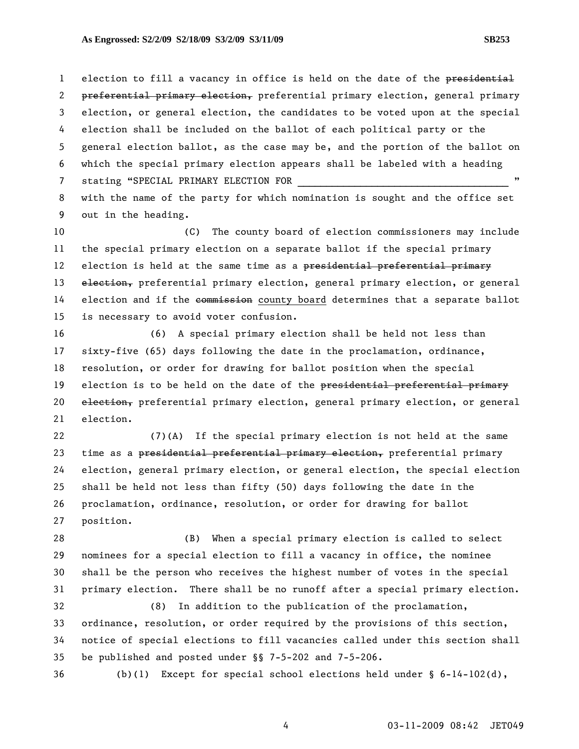1 election to fill a vacancy in office is held on the date of the presidential 2 preferential primary election, preferential primary election, general primary 3 election, or general election, the candidates to be voted upon at the special 4 election shall be included on the ballot of each political party or the 5 general election ballot, as the case may be, and the portion of the ballot on 6 which the special primary election appears shall be labeled with a heading 7 stating "SPECIAL PRIMARY ELECTION FOR 8 with the name of the party for which nomination is sought and the office set

9 out in the heading.

10 (C) The county board of election commissioners may include 11 the special primary election on a separate ballot if the special primary 12 election is held at the same time as a presidential preferential primary 13 election, preferential primary election, general primary election, or general 14 election and if the commission county board determines that a separate ballot 15 is necessary to avoid voter confusion.

16 (6) A special primary election shall be held not less than 17 sixty-five (65) days following the date in the proclamation, ordinance, 18 resolution, or order for drawing for ballot position when the special 19 election is to be held on the date of the presidential preferential primary 20 election, preferential primary election, general primary election, or general 21 election.

22 (7)(A) If the special primary election is not held at the same 23 time as a presidential preferential primary election, preferential primary 24 election, general primary election, or general election, the special election 25 shall be held not less than fifty (50) days following the date in the 26 proclamation, ordinance, resolution, or order for drawing for ballot 27 position.

28 (B) When a special primary election is called to select 29 nominees for a special election to fill a vacancy in office, the nominee 30 shall be the person who receives the highest number of votes in the special 31 primary election. There shall be no runoff after a special primary election.

32 (8) In addition to the publication of the proclamation, 33 ordinance, resolution, or order required by the provisions of this section, 34 notice of special elections to fill vacancies called under this section shall 35 be published and posted under §§ 7-5-202 and 7-5-206.

36 (b)(1) Except for special school elections held under § 6-14-102(d),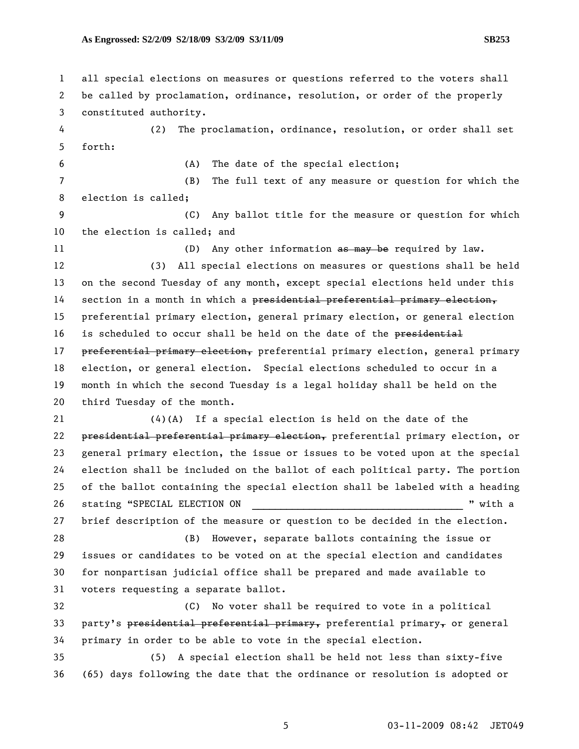1 all special elections on measures or questions referred to the voters shall 2 be called by proclamation, ordinance, resolution, or order of the properly 3 constituted authority. 4 (2) The proclamation, ordinance, resolution, or order shall set 5 forth: 6 (A) The date of the special election; 7 (B) The full text of any measure or question for which the 8 election is called; 9 (C) Any ballot title for the measure or question for which 10 the election is called; and 11 (D) Any other information as may be required by law. 12 (3) All special elections on measures or questions shall be held 13 on the second Tuesday of any month, except special elections held under this 14 section in a month in which a presidential preferential primary election, 15 preferential primary election, general primary election, or general election 16 is scheduled to occur shall be held on the date of the presidential 17 preferential primary election, preferential primary election, general primary 18 election, or general election. Special elections scheduled to occur in a 19 month in which the second Tuesday is a legal holiday shall be held on the 20 third Tuesday of the month. 21 (4)(A) If a special election is held on the date of the 22 presidential preferential primary election, preferential primary election, or 23 general primary election, the issue or issues to be voted upon at the special 24 election shall be included on the ballot of each political party. The portion 25 of the ballot containing the special election shall be labeled with a heading 26 stating "SPECIAL ELECTION ON  $\blacksquare$  " with a 27 brief description of the measure or question to be decided in the election. 28 (B) However, separate ballots containing the issue or 29 issues or candidates to be voted on at the special election and candidates 30 for nonpartisan judicial office shall be prepared and made available to 31 voters requesting a separate ballot. 32 (C) No voter shall be required to vote in a political 33 party's presidential preferential primary, preferential primary, or general 34 primary in order to be able to vote in the special election. 35 (5) A special election shall be held not less than sixty-five 36 (65) days following the date that the ordinance or resolution is adopted or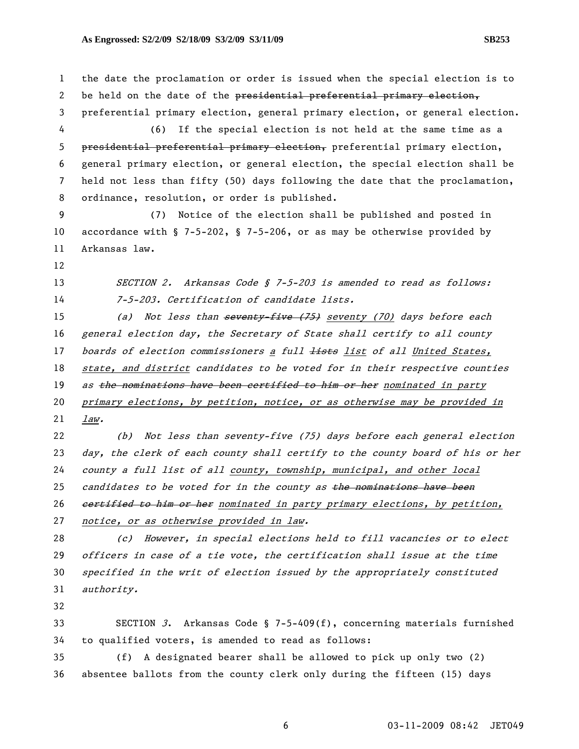1 the date the proclamation or order is issued when the special election is to 2 be held on the date of the presidential preferential primary election, 3 preferential primary election, general primary election, or general election. 4 (6) If the special election is not held at the same time as a 5 presidential preferential primary election, preferential primary election, 6 general primary election, or general election, the special election shall be 7 held not less than fifty (50) days following the date that the proclamation, 8 ordinance, resolution, or order is published. 9 (7) Notice of the election shall be published and posted in 10 accordance with § 7-5-202, § 7-5-206, or as may be otherwise provided by 11 Arkansas law. 12 13 SECTION 2. Arkansas Code § 7-5-203 is amended to read as follows: 14 7-5-203. Certification of candidate lists. 15 (a) Not less than seventy five (75) seventy (70) days before each 16 general election day, the Secretary of State shall certify to all county 17 boards of election commissioners a full lists list of all United States, 18 state, and district candidates to be voted for in their respective counties 19 as the nominations have been certified to him or her nominated in party 20 primary elections, by petition, notice, or as otherwise may be provided in 21 law. 22 (b) Not less than seventy-five (75) days before each general election 23 day, the clerk of each county shall certify to the county board of his or her 24 county a full list of all county, township, municipal, and other local 25 candidates to be voted for in the county as the nominations have been 26 certified to him or her nominated in party primary elections, by petition, 27 notice, or as otherwise provided in law. 28 (c) However, in special elections held to fill vacancies or to elect 29 officers in case of a tie vote, the certification shall issue at the time 30 specified in the writ of election issued by the appropriately constituted 31 authority. 32 33 SECTION 3. Arkansas Code § 7-5-409(f), concerning materials furnished 34 to qualified voters, is amended to read as follows:

35 (f) A designated bearer shall be allowed to pick up only two (2) 36 absentee ballots from the county clerk only during the fifteen (15) days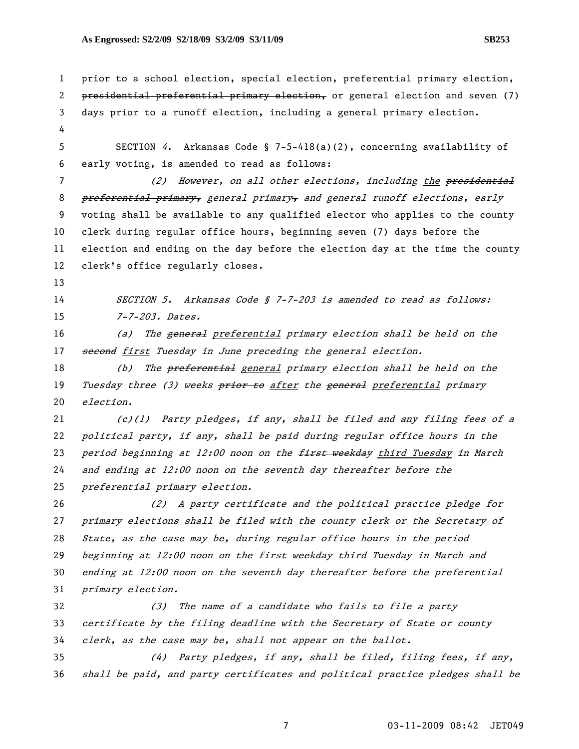## **As Engrossed: S2/2/09 S2/18/09 S3/2/09 S3/11/09 SB253**

```
1 prior to a school election, special election, preferential primary election, 
2 presidential preferential primary election, or general election and seven (7)
3 days prior to a runoff election, including a general primary election. 
4 
5 SECTION 4. Arkansas Code § 7-5-418(a)(2), concerning availability of 
6 early voting, is amended to read as follows: 
7 (2) However, on all other elections, including the presidential
8 preferential primary, general primary, and general runoff elections, early
9 voting shall be available to any qualified elector who applies to the county 
10 clerk during regular office hours, beginning seven (7) days before the 
11 election and ending on the day before the election day at the time the county 
12 clerk's office regularly closes. 
13 
14 SECTION 5. Arkansas Code § 7-7-203 is amended to read as follows:
15 7-7-203. Dates.
16 (a) The general preferential primary election shall be held on the
17 second first Tuesday in June preceding the general election.
18 (b) The preferential general primary election shall be held on the
19 Tuesday three (3) weeks prior to after the general preferential primary
20 election. 
21 (c)(1) Party pledges, if any, shall be filed and any filing fees of a 
22 political party, if any, shall be paid during regular office hours in the 
23 period beginning at 12:00 noon on the first weekday third Tuesday in March
24 and ending at 12:00 noon on the seventh day thereafter before the 
25 preferential primary election. 
26 (2) A party certificate and the political practice pledge for 
27 primary elections shall be filed with the county clerk or the Secretary of 
28 State, as the case may be, during regular office hours in the period 
29 beginning at 12:00 noon on the first weekday third Tuesday in March and
30 ending at 12:00 noon on the seventh day thereafter before the preferential 
31 primary election. 
32 (3) The name of a candidate who fails to file a party 
33 certificate by the filing deadline with the Secretary of State or county 
34 clerk, as the case may be, shall not appear on the ballot.
35 (4) Party pledges, if any, shall be filed, filing fees, if any, 
36 shall be paid, and party certificates and political practice pledges shall be
```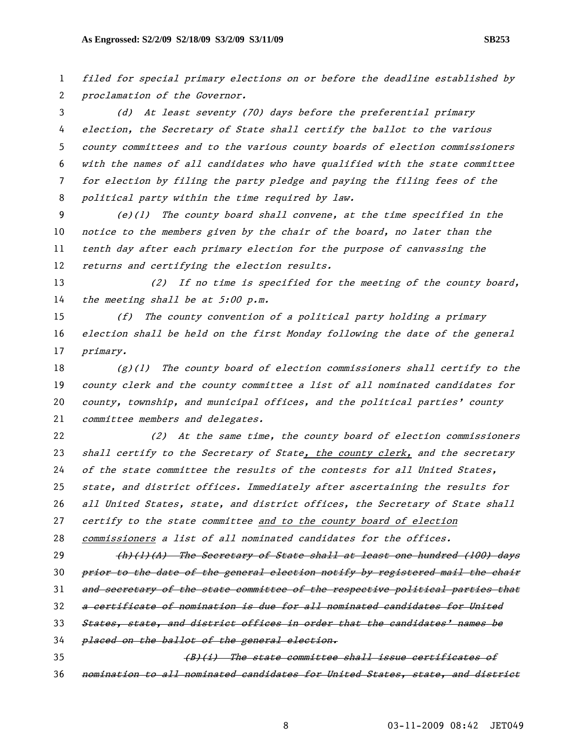filed for special primary elections on or before the deadline established by proclamation of the Governor.

(d) At least seventy (70) days before the preferential primary election, the Secretary of State shall certify the ballot to the various county committees and to the various county boards of election commissioners with the names of all candidates who have qualified with the state committee for election by filing the party pledge and paying the filing fees of the political party within the time required by law.

(e)(1) The county board shall convene, at the time specified in the notice to the members given by the chair of the board, no later than the tenth day after each primary election for the purpose of canvassing the returns and certifying the election results.

13 (2) If no time is specified for the meeting of the county board, 14 the meeting shall be at 5:00 p.m.

(f) The county convention of a political party holding a primary election shall be held on the first Monday following the date of the general primary.

 $(g)(1)$  The county board of election commissioners shall certify to the county clerk and the county committee a list of all nominated candidates for 20 county, township, and municipal offices, and the political parties' county 21 committee members and delegates.

(2) At the same time, the county board of election commissioners shall certify to the Secretary of State, the county clerk, and the secretary of the state committee the results of the contests for all United States, state, and district offices. Immediately after ascertaining the results for all United States, state, and district offices, the Secretary of State shall certify to the state committee and to the county board of election commissioners a list of all nominated candidates for the offices.

29 (h)(1)(A) The Secretary of State shall at least one hundred (100) days 30 prior to the date of the general election notify by registered mail the chair and secretary of the state committee of the respective political parties that a certificate of nomination is due for all nominated candidates for United States, state, and district offices in order that the candidates' names be

34 placed on the ballot of the general election.

35 (B)(i) The state committee shall issue certificates of nomination to all nominated candidates for United States, state, and district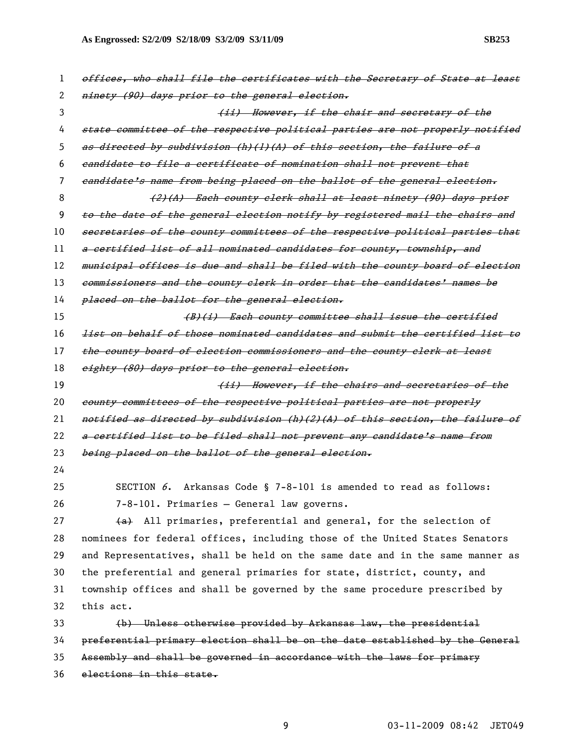| 1  | offices, who shall file the certificates with the Secretary of State at least |
|----|-------------------------------------------------------------------------------|
| 2  | ninety (90) days prior to the general election.                               |
| 3  | (ii) However, if the chair and secretary of the                               |
| 4  | state committee of the respective political parties are not properly notified |
| 5. | as directed by subdivision (h)(l)(A) of this section, the failure of a        |
| 6  | eandidate to file a certificate of nomination shall not prevent that          |
| 7  | eandidate's name from being placed on the ballot of the general election.     |
| 8  | (2)(A) Each county clerk shall at least ninety (90) days prior                |
| 9  | to the date of the general election notify by registered mail the chairs and  |
| 10 | secretaries of the county committees of the respective political parties that |
| 11 | a certified list of all nominated candidates for county, township, and        |
| 12 | municipal offices is due and shall be filed with the county board of election |
| 13 | commissioners and the county clerk in order that the candidates' names be     |
| 14 | placed on the ballot for the general election.                                |
| 15 | (B)(i) Each county committee shall issue the certified                        |
| 16 | list on behalf of those nominated candidates and submit the certified list to |
| 17 | the county board of election commissioners and the county elerk at least      |
| 18 | eighty (80) days prior to the general election.                               |
|    |                                                                               |
| 19 | (ii) However, if the chairs and secretaries of the                            |
| 20 | county committees of the respective political parties are not properly        |
| 21 | notified as directed by subdivision (h)(2)(A) of this section, the failure of |
| 22 | a certified list to be filed shall not prevent any candidate's name from      |
| 23 | being placed on the ballot of the general election.                           |
| 24 |                                                                               |
| 25 | SECTION $6$ . Arkansas Code § 7-8-101 is amended to read as follows:          |
| 26 | 7-8-101. Primaries - General law governs.                                     |
| 27 | (a) All primaries, preferential and general, for the selection of             |
| 28 | nominees for federal offices, including those of the United States Senators   |
| 29 | and Representatives, shall be held on the same date and in the same manner as |
| 30 | the preferential and general primaries for state, district, county, and       |
| 31 | township offices and shall be governed by the same procedure prescribed by    |
| 32 | this act.                                                                     |
| 33 | (b) Unless otherwise provided by Arkansas law, the presidential               |
| 34 | preferential primary election shall be on the date established by the General |
| 35 | Assembly and shall be governed in accordance with the laws for primary        |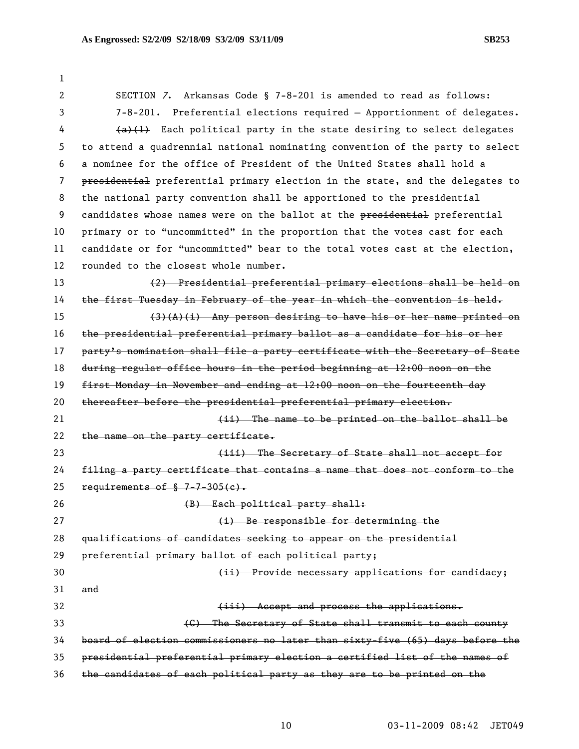1 2 SECTION 7. Arkansas Code § 7-8-201 is amended to read as follows: 3 7-8-201. Preferential elections required – Apportionment of delegates. 4 (a)(1) Each political party in the state desiring to select delegates 5 to attend a quadrennial national nominating convention of the party to select 6 a nominee for the office of President of the United States shall hold a 7 presidential preferential primary election in the state, and the delegates to 8 the national party convention shall be apportioned to the presidential 9 candidates whose names were on the ballot at the presidential preferential 10 primary or to "uncommitted" in the proportion that the votes cast for each 11 candidate or for "uncommitted" bear to the total votes cast at the election, 12 rounded to the closest whole number. 13 (2) Presidential preferential primary elections shall be held on 14 the first Tuesday in February of the year in which the convention is held. 15  $(3)(A)(i)$  Any person desiring to have his or her name printed on 16 the presidential preferential primary ballot as a candidate for his or her 17 party's nomination shall file a party certificate with the Secretary of State 18 during regular office hours in the period beginning at 12:00 noon on the 19 first Monday in November and ending at 12:00 noon on the fourteenth day 20 thereafter before the presidential preferential primary election. 21 **Example 21 Conserverse is the figure of the conserverse in the conserverse is the ballot shall be** 22 the name on the party certificate. 23 (iii) The Secretary of State shall not accept for 24 filing a party certificate that contains a name that does not conform to the 25 requirements of  $$7-7-305(e)$ . 26 (B) Each political party shall: 27 **(i)** Be responsible for determining the 28 qualifications of candidates seeking to appear on the presidential 29 preferential primary ballot of each political party; 30 (ii) Provide necessary applications for candidacy; 31 and 32 **(iii)** Accept and process the applications. 33 (C) The Secretary of State shall transmit to each county 34 board of election commissioners no later than sixty-five (65) days before the 35 presidential preferential primary election a certified list of the names of 36 the candidates of each political party as they are to be printed on the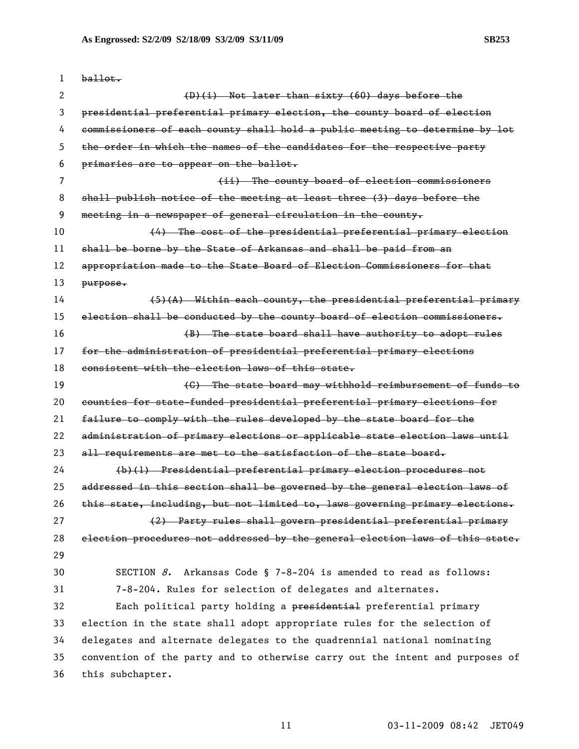| 1  | ballot.                                                                       |
|----|-------------------------------------------------------------------------------|
| 2  | (D)(i) Not later than sixty (60) days before the                              |
| 3  | presidential preferential primary election, the county board of election      |
| 4  | commissioners of each county shall hold a public meeting to determine by lot  |
| 5  | the order in which the names of the candidates for the respective party       |
| 6  | primaries are to appear on the ballot.                                        |
| 7  | (ii) The county board of election commissioners                               |
| 8  | shall publish notice of the meeting at least three (3) days before the        |
| 9  | meeting in a newspaper of general circulation in the county.                  |
| 10 | (4) The cost of the presidential preferential primary election                |
| 11 | shall be borne by the State of Arkansas and shall be paid from an             |
| 12 | appropriation made to the State Board of Election Commissioners for that      |
| 13 | purpose.                                                                      |
| 14 | $(5)$ (A) Within each county, the presidential preferential primary           |
| 15 | election shall be conducted by the county board of election commissioners.    |
| 16 | (B) The state board shall have authority to adopt rules                       |
| 17 | for the administration of presidential preferential primary elections         |
| 18 | consistent with the election laws of this state.                              |
| 19 | (C) The state board may withhold reimbursement of funds to                    |
| 20 | counties for state-funded presidential preferential primary elections for     |
| 21 | failure to comply with the rules developed by the state board for the         |
| 22 | administration of primary elections or applicable state election laws until   |
| 23 | all requirements are met to the satisfaction of the state board.              |
| 24 | (b)(1) Presidential preferential primary election procedures not              |
| 25 | addressed in this section shall be governed by the general election laws of   |
| 26 | this state, including, but not limited to, laws governing primary elections.  |
| 27 | (2) Party rules shall govern presidential preferential primary                |
| 28 | election procedures not addressed by the general election laws of this state. |
| 29 |                                                                               |
| 30 | SECTION $8$ . Arkansas Code § 7-8-204 is amended to read as follows:          |
| 31 | 7-8-204. Rules for selection of delegates and alternates.                     |
| 32 | Each political party holding a presidential preferential primary              |
| 33 | election in the state shall adopt appropriate rules for the selection of      |
| 34 | delegates and alternate delegates to the quadrennial national nominating      |
| 35 | convention of the party and to otherwise carry out the intent and purposes of |
| 36 | this subchapter.                                                              |